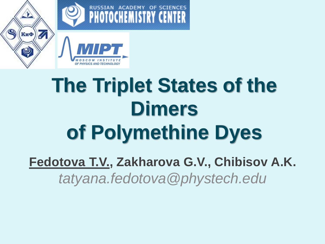

# **The Triplet States of the Dimers of Polymethine Dyes**

**Fedotova T.V., Zakharova G.V., Chibisov A.K.** *tatyana.fedotova@phystech.edu*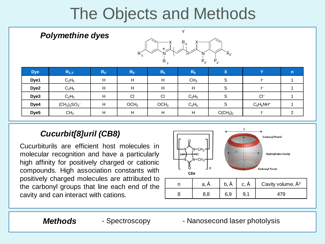## The Objects and Methods

| <b>Polymethine dyes</b> |                 |         | Υ<br>$R_{9}$<br>∧<br>⌒<br>$R_{5}$<br>$R_5^6$<br>$R_{4}$<br>$R_{3}$<br>R, |                  |                 |                                  |              |                |
|-------------------------|-----------------|---------|--------------------------------------------------------------------------|------------------|-----------------|----------------------------------|--------------|----------------|
| <b>Dye</b>              | $R_{3,3'}$      | $R_{4}$ | $\mathsf{R}_{5'}$                                                        | $R_5$            | R <sub>9</sub>  | $\boldsymbol{\mathsf{X}}$        | Y            | $\mathsf{n}$   |
| Dye1                    | $C_2H_5$        | H       | H                                                                        | H                | CH <sub>3</sub> | S                                | F            | 1              |
| Dye <sub>2</sub>        | $C_2H_5$        | H       | H                                                                        | H                | H               | S                                |              |                |
| Dye3                    | $C_2H_5$        | H       | C1                                                                       | C1               | $C_2H_5$        | S                                | $Cl^-$       | 4              |
| Dye4                    | $(CH2)3SO3$     | H       | OCH <sub>3</sub>                                                         | OCH <sub>3</sub> | $C_2H_5$        | $\mathsf S$                      | $C_5H_5NH^+$ |                |
| Dye <sub>5</sub>        | CH <sub>3</sub> | H       | H                                                                        | H                | H               | C(CH <sub>3</sub> ) <sub>2</sub> | F            | $\overline{2}$ |

#### *Cucurbit[8]uril (CB8)*

Cucurbiturils are efficient host molecules in molecular recognition and have a particularly high affinity for positively charged or cationic compounds. High association constants with positively charged molecules are attributed to the carbonyl groups that line each end of the cavity and can interact with cations.



**Methods** - Spectroscopy - Nanosecond laser photolysis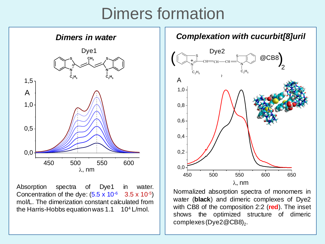#### Dimers formation



Absorption spectra of Dye1 in water. Concentration of the dye:  $(5.5 \times 10^{-6} \text{ } 3.5 \times 10^{-5})$ mol/L. The dimerization constant calculated from the Harris-Hobbs equation was  $1.1 \quad 10^4$  L/mol.



Normalized absorption spectra of monomers in water (**black**) and dimeric complexes of Dye2 with CB8 of the composition 2:2 (**red**). The inset shows the optimized structure of dimeric complexes (Dye2 @CB8) $_{\rm 2}$ .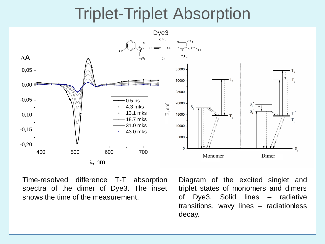#### Triplet-Triplet Absorption



Time-resolved difference Т-Т absorption spectra of the dimer of Dye3. The inset shows the time of the measurement.

Diagram of the excited singlet and triplet states of monomers and dimers of Dye3. Solid lines – radiative transitions, wavy lines – radiationless decay.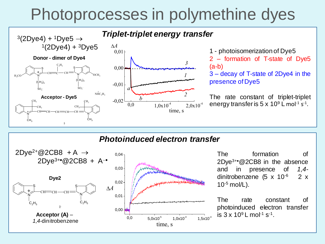### Photoprocesses in polymethine dyes



#### *Photoinduced electron transfer*



The formation of  $2Dye^{3+e}$  @2CB8 in the absence and in presence of *1,4* dinitrobenzene (5 x  $10^{-6}$  2 x  $10^{-5}$  mol/L).

The rate constant of photoinduced electron transfer is  $3 \times 10^9$  L mol<sup>-1</sup> s<sup>-1</sup>.